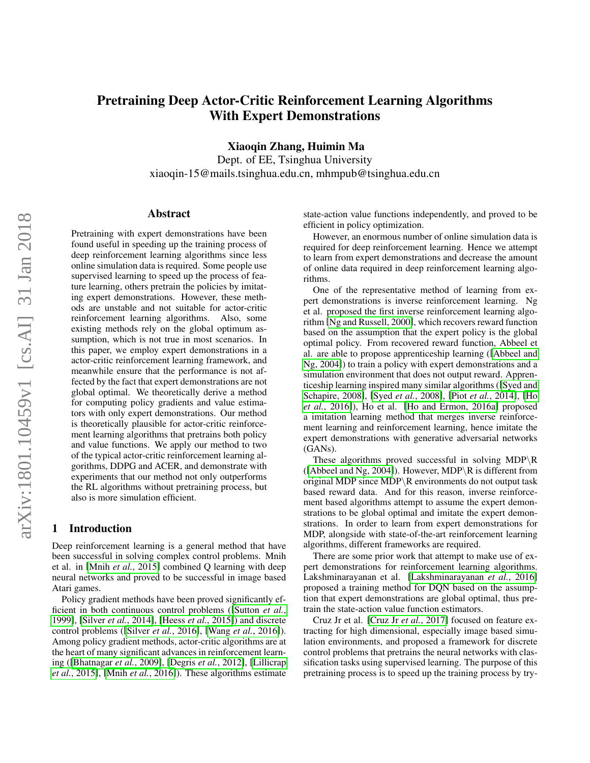# Pretraining Deep Actor-Critic Reinforcement Learning Algorithms With Expert Demonstrations

Xiaoqin Zhang, Huimin Ma

Dept. of EE, Tsinghua University xiaoqin-15@mails.tsinghua.edu.cn, mhmpub@tsinghua.edu.cn

#### Abstract

Pretraining with expert demonstrations have been found useful in speeding up the training process of deep reinforcement learning algorithms since less online simulation data is required. Some people use supervised learning to speed up the process of feature learning, others pretrain the policies by imitating expert demonstrations. However, these methods are unstable and not suitable for actor-critic reinforcement learning algorithms. Also, some existing methods rely on the global optimum assumption, which is not true in most scenarios. In this paper, we employ expert demonstrations in a actor-critic reinforcement learning framework, and meanwhile ensure that the performance is not affected by the fact that expert demonstrations are not global optimal. We theoretically derive a method for computing policy gradients and value estimators with only expert demonstrations. Our method is theoretically plausible for actor-critic reinforcement learning algorithms that pretrains both policy and value functions. We apply our method to two of the typical actor-critic reinforcement learning algorithms, DDPG and ACER, and demonstrate with experiments that our method not only outperforms the RL algorithms without pretraining process, but also is more simulation efficient.

# 1 Introduction

Deep reinforcement learning is a general method that have been successful in solving complex control problems. Mnih et al. in [Mnih *et al.*[, 2015\]](#page-6-0) combined Q learning with deep neural networks and proved to be successful in image based Atari games.

Policy gradient methods have been proved significantly efficient in both continuous control problems ([\[Sutton](#page-6-1) *et al.*, [1999\]](#page-6-1), [Silver *et al.*[, 2014\]](#page-6-2), [Heess *et al.*[, 2015\]](#page-5-0)) and discrete control problems ([Silver *et al.*[, 2016\]](#page-6-3), [Wang *et al.*[, 2016\]](#page-6-4)). Among policy gradient methods, actor-critic algorithms are at the heart of many significant advances in reinforcement learning ([\[Bhatnagar](#page-5-1) *et al.*, 2009], [\[Degris](#page-5-2) *et al.*, 2012], [\[Lillicrap](#page-6-5) *et al.*[, 2015\]](#page-6-5), [Mnih *et al.*[, 2016\]](#page-6-6)). These algorithms estimate state-action value functions independently, and proved to be efficient in policy optimization.

However, an enormous number of online simulation data is required for deep reinforcement learning. Hence we attempt to learn from expert demonstrations and decrease the amount of online data required in deep reinforcement learning algorithms.

One of the representative method of learning from expert demonstrations is inverse reinforcement learning. Ng et al. proposed the first inverse reinforcement learning algorithm [\[Ng and Russell, 2000\]](#page-6-7), which recovers reward function based on the assumption that the expert policy is the global optimal policy. From recovered reward function, Abbeel et al. are able to propose apprenticeship learning ([\[Abbeel and](#page-5-3) [Ng, 2004\]](#page-5-3)) to train a policy with expert demonstrations and a simulation environment that does not output reward. Apprenticeship learning inspired many similar algorithms ([\[Syed and](#page-6-8) [Schapire, 2008\]](#page-6-8), [Syed *et al.*[, 2008\]](#page-6-9), [Piot *et al.*[, 2014\]](#page-6-10), [\[Ho](#page-6-11) *et al.*[, 2016\]](#page-6-11)), Ho et al. [\[Ho and Ermon, 2016a\]](#page-6-12) proposed a imitation learning method that merges inverse reinforcement learning and reinforcement learning, hence imitate the expert demonstrations with generative adversarial networks (GANs).

These algorithms proved successful in solving MDP $\R$ ([\[Abbeel and Ng, 2004\]](#page-5-3)). However, MDP \R is different from original MDP since MDP\R environments do not output task based reward data. And for this reason, inverse reinforcement based algorithms attempt to assume the expert demonstrations to be global optimal and imitate the expert demonstrations. In order to learn from expert demonstrations for MDP, alongside with state-of-the-art reinforcement learning algorithms, different frameworks are required.

There are some prior work that attempt to make use of expert demonstrations for reinforcement learning algorithms. Lakshminarayanan et al. [\[Lakshminarayanan](#page-6-13) *et al.*, 2016] proposed a training method for DQN based on the assumption that expert demonstrations are global optimal, thus pretrain the state-action value function estimators.

Cruz Jr et al. [\[Cruz Jr](#page-5-4) *et al.*, 2017] focused on feature extracting for high dimensional, especially image based simulation environments, and proposed a framework for discrete control problems that pretrains the neural networks with classification tasks using supervised learning. The purpose of this pretraining process is to speed up the training process by try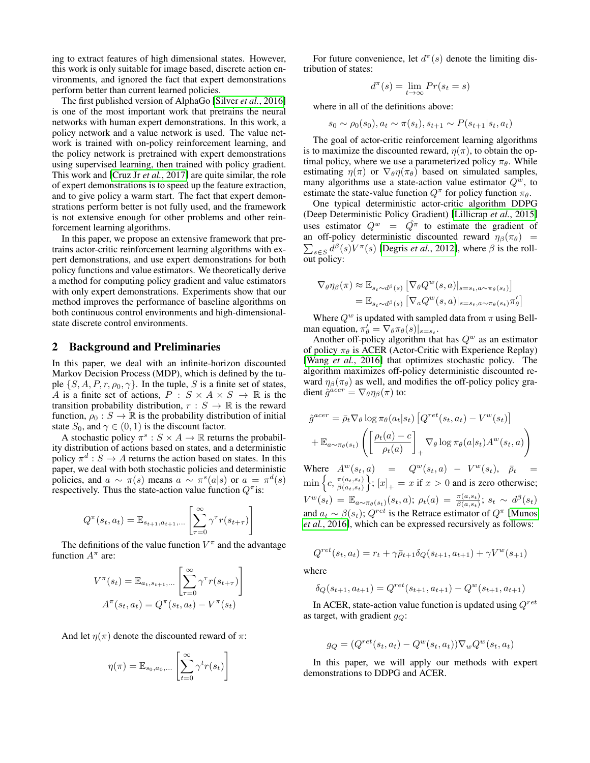ing to extract features of high dimensional states. However, this work is only suitable for image based, discrete action environments, and ignored the fact that expert demonstrations perform better than current learned policies.

The first published version of AlphaGo [Silver *et al.*[, 2016\]](#page-6-3) is one of the most important work that pretrains the neural networks with human expert demonstrations. In this work, a policy network and a value network is used. The value network is trained with on-policy reinforcement learning, and the policy network is pretrained with expert demonstrations using supervised learning, then trained with policy gradient. This work and [\[Cruz Jr](#page-5-4) *et al.*, 2017] are quite similar, the role of expert demonstrations is to speed up the feature extraction, and to give policy a warm start. The fact that expert demonstrations perform better is not fully used, and the framework is not extensive enough for other problems and other reinforcement learning algorithms.

In this paper, we propose an extensive framework that pretrains actor-critic reinforcement learning algorithms with expert demonstrations, and use expert demonstrations for both policy functions and value estimators. We theoretically derive a method for computing policy gradient and value estimators with only expert demonstrations. Experiments show that our method improves the performance of baseline algorithms on both continuous control environments and high-dimensionalstate discrete control environments.

#### 2 Background and Preliminaries

In this paper, we deal with an infinite-horizon discounted Markov Decision Process (MDP), which is defined by the tuple  $\{S, A, P, r, \rho_0, \gamma\}$ . In the tuple, S is a finite set of states, A is a finite set of actions,  $P : S \times A \times S \rightarrow \mathbb{R}$  is the transition probability distribution,  $r : S \to \mathbb{R}$  is the reward function,  $\rho_0 : S \to \mathbb{R}$  is the probability distribution of initial state  $S_0$ , and  $\gamma \in (0,1)$  is the discount factor.

A stochastic policy  $\pi^s : S \times A \to \mathbb{R}$  returns the probability distribution of actions based on states, and a deterministic policy  $\pi^d : S \to A$  returns the action based on states. In this paper, we deal with both stochastic policies and deterministic policies, and  $a \sim \pi(s)$  means  $a \sim \pi^s(a|s)$  or  $a = \pi^d(s)$ respectively. Thus the state-action value function  $Q^{\pi}$  is:

$$
Q^{\pi}(s_t, a_t) = \mathbb{E}_{s_{t+1}, a_{t+1}, \dots} \left[ \sum_{\tau=0}^{\infty} \gamma^{\tau} r(s_{t+\tau}) \right]
$$

The definitions of the value function  $V^{\pi}$  and the advantage function  $A^{\pi}$  are:

$$
V^{\pi}(s_t) = \mathbb{E}_{a_t, s_{t+1}, \dots} \left[ \sum_{\tau=0}^{\infty} \gamma^{\tau} r(s_{t+\tau}) \right]
$$

$$
A^{\pi}(s_t, a_t) = Q^{\pi}(s_t, a_t) - V^{\pi}(s_t)
$$

And let  $\eta(\pi)$  denote the discounted reward of  $\pi$ :

$$
\eta(\pi) = \mathbb{E}_{s_0, a_0, \dots} \left[ \sum_{t=0}^{\infty} \gamma^t r(s_t) \right]
$$

For future convenience, let  $d^{\pi}(s)$  denote the limiting distribution of states:

$$
d^{\pi}(s) = \lim_{t \to \infty} Pr(s_t = s)
$$

where in all of the definitions above:

$$
s_0 \sim \rho_0(s_0), a_t \sim \pi(s_t), s_{t+1} \sim P(s_{t+1}|s_t, a_t)
$$

The goal of actor-critic reinforcement learning algorithms is to maximize the discounted reward,  $\eta(\pi)$ , to obtain the optimal policy, where we use a parameterized policy  $\pi_{\theta}$ . While estimating  $\eta(\pi)$  or  $\nabla_{\theta} \eta(\pi_{\theta})$  based on simulated samples, many algorithms use a state-action value estimator  $Q^w$ , to estimate the state-value function  $Q^{\pi}$  for policy function  $\pi_{\theta}$ .

One typical deterministic actor-critic algorithm DDPG (Deep Deterministic Policy Gradient) [\[Lillicrap](#page-6-5) *et al.*, 2015] uses estimator  $Q^w = \tilde{Q}^{\pi}$  to estimate the gradient of an off-policy deterministic discounted reward  $\eta_\beta(\pi_\theta)$  =  $\sum_{s \in S} d^{\beta}(s) V^{\pi}(s)$  [\[Degris](#page-5-2) *et al.*, 2012], where  $\beta$  is the rollout policy:

$$
\nabla_{\theta} \eta_{\beta}(\pi) \approx \mathbb{E}_{s_t \sim d^{\beta}(s)} \left[ \nabla_{\theta} Q^{w}(s, a) \vert_{s=s_t, a \sim \pi_{\theta}(s_t)} \right]
$$
  
= 
$$
\mathbb{E}_{s_t \sim d^{\beta}(s)} \left[ \nabla_a Q^{w}(s, a) \vert_{s=s_t, a \sim \pi_{\theta}(s_t)} \pi_{\theta}' \right]
$$

Where  $Q^w$  is updated with sampled data from  $\pi$  using Bellman equation,  $\pi'_{\theta} = \nabla_{\theta} \pi_{\theta}(s)|_{s=s_t}$ .

Another off-policy algorithm that has  $Q^w$  as an estimator of policy  $\pi_{\theta}$  is ACER (Actor-Critic with Experience Replay) [Wang *et al.*[, 2016\]](#page-6-4) that optimizes stochastic policy. The algorithm maximizes off-policy deterministic discounted reward  $\eta_\beta(\pi_\theta)$  as well, and modifies the off-policy policy gradient  $\hat{g}^{acer} = \nabla_{\theta} \eta_{\beta}(\pi)$  to:

$$
\hat{g}^{acer} = \bar{\rho}_t \nabla_{\theta} \log \pi_{\theta}(a_t|s_t) \left[ Q^{ret}(s_t, a_t) - V^w(s_t) \right]
$$

$$
+ \mathbb{E}_{a \sim \pi_{\theta}(s_t)} \left( \left[ \frac{\rho_t(a) - c}{\rho_t(a)} \right]_{+} \nabla_{\theta} \log \pi_{\theta}(a|s_t) A^w(s_t, a) \right)
$$

Where  $A^w(s_t, a) = Q^w(s_t, a) - V^w(s_t), \ \bar{\rho}_t =$  $\min \left\{c, \frac{\pi(a_t, s_t)}{\beta(a_t, s_t)}\right\}$  $\left( \frac{\pi(a_t, s_t)}{\beta(a_t, s_t)} \right\}$ ;  $[x]_+ = x$  if  $x > 0$  and is zero otherwise;  $V^{w}(s_t) = \mathbb{E}_{a \sim \pi_{\theta}(s_t)}(s_t, a); \ \rho_t(a) = \frac{\pi(a, s_t)}{\beta(a, s_t)}; \ s_t \sim d^{\beta}(s_t)$ and  $a_t \sim \beta(s_t)$ ;  $Q^{ret}$  is the Retrace estimator of  $Q^{\pi}$  [\[Munos](#page-6-14) *et al.*[, 2016\]](#page-6-14), which can be expressed recursively as follows:

$$
Q^{ret}(s_t, a_t) = r_t + \gamma \bar{\rho}_{t+1} \delta_Q(s_{t+1}, a_{t+1}) + \gamma V^w(s_{t+1})
$$

where

$$
\delta_Q(s_{t+1}, a_{t+1}) = Q^{ret}(s_{t+1}, a_{t+1}) - Q^{w}(s_{t+1}, a_{t+1})
$$

In ACER, state-action value function is updated using  $Q^{ret}$ as target, with gradient  $g_Q$ :

$$
g_Q = (Q^{ret}(s_t, a_t) - Q^w(s_t, a_t)) \nabla_w Q^w(s_t, a_t)
$$

In this paper, we will apply our methods with expert demonstrations to DDPG and ACER.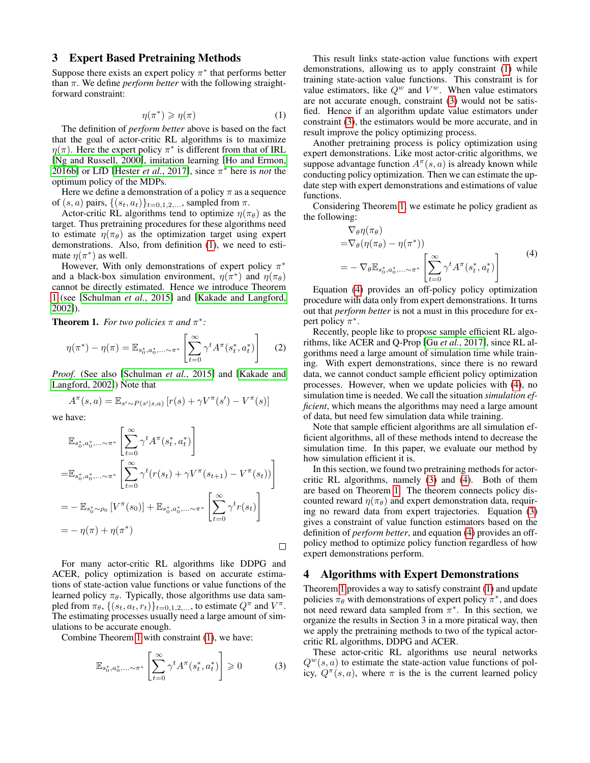## 3 Expert Based Pretraining Methods

Suppose there exists an expert policy  $\pi^*$  that performs better than  $\pi$ . We define *perform better* with the following straightforward constraint:

<span id="page-2-0"></span>
$$
\eta(\pi^*) \geqslant \eta(\pi) \tag{1}
$$

The definition of *perform better* above is based on the fact that the goal of actor-critic RL algorithms is to maximize  $\eta(\pi)$ . Here the expert policy  $\pi^*$  is different from that of IRL [\[Ng and Russell, 2000\]](#page-6-7), imitation learning [\[Ho and Ermon,](#page-6-15) [2016b\]](#page-6-15) or LfD [\[Hester](#page-5-5) *et al.*, 2017], since  $\pi^*$  here is *not* the optimum policy of the MDPs.

Here we define a demonstration of a policy  $\pi$  as a sequence of  $(s, a)$  pairs,  $\{(s_t, a_t)\}_{t=0,1,2,\ldots}$ , sampled from  $\pi$ .

Actor-critic RL algorithms tend to optimize  $\eta(\pi_{\theta})$  as the target. Thus pretraining procedures for these algorithms need to estimate  $\eta(\pi_{\theta})$  as the optimization target using expert demonstrations. Also, from definition [\(1\)](#page-2-0), we need to estimate  $\eta(\pi^*)$  as well.

However, With only demonstrations of expert policy  $\pi^*$ and a black-box simulation environment,  $\eta(\pi^*)$  and  $\eta(\pi_\theta)$ cannot be directly estimated. Hence we introduce Theorem [1](#page-2-1) (see [\[Schulman](#page-6-16) *et al.*, 2015] and [\[Kakade and Langford,](#page-6-17) [2002\]](#page-6-17)).

<span id="page-2-1"></span>**Theorem 1.** For two policies  $\pi$  and  $\pi^*$ :

$$
\eta(\pi^*) - \eta(\pi) = \mathbb{E}_{s_0^*, a_0^*, \dots \sim \pi^*} \left[ \sum_{t=0}^{\infty} \gamma^t A^{\pi}(s_t^*, a_t^*) \right] \tag{2}
$$

*Proof.* (See also [\[Schulman](#page-6-16) *et al.*, 2015] and [\[Kakade and](#page-6-17) [Langford, 2002\]](#page-6-17)) Note that

$$
A^{\pi}(s, a) = \mathbb{E}_{s' \sim P(s'|s, a)} [r(s) + \gamma V^{\pi}(s') - V^{\pi}(s)]
$$

we have:

$$
\mathbb{E}_{s_0^*, a_0^*, \dots \sim \pi^*} \left[ \sum_{t=0}^{\infty} \gamma^t A^{\pi}(s_t^*, a_t^*) \right]
$$
\n
$$
= \mathbb{E}_{s_0^*, a_0^*, \dots \sim \pi^*} \left[ \sum_{t=0}^{\infty} \gamma^t (r(s_t) + \gamma V^{\pi}(s_{t+1}) - V^{\pi}(s_t)) \right]
$$
\n
$$
= - \mathbb{E}_{s_0^*, \sim \rho_0} \left[ V^{\pi}(s_0) \right] + \mathbb{E}_{s_0^*, a_0^*, \dots \sim \pi^*} \left[ \sum_{t=0}^{\infty} \gamma^t r(s_t) \right]
$$
\n
$$
= -\eta(\pi) + \eta(\pi^*)
$$

For many actor-critic RL algorithms like DDPG and ACER, policy optimization is based on accurate estimations of state-action value functions or value functions of the learned policy  $\pi_{\theta}$ . Typically, those algorithms use data sampled from  $\pi_{\theta}$ ,  $\{(s_t, a_t, r_t)\}_{t=0,1,2,...}$ , to estimate  $Q^{\pi}$  and  $V^{\pi}$ . The estimating processes usually need a large amount of simulations to be accurate enough.

Combine Theorem [1](#page-2-1) with constraint [\(1\)](#page-2-0), we have:

<span id="page-2-2"></span>
$$
\mathbb{E}_{s_0^*, a_0^*, \dots \sim \pi^*} \left[ \sum_{t=0}^{\infty} \gamma^t A^{\pi}(s_t^*, a_t^*) \right] \geq 0 \tag{3}
$$

This result links state-action value functions with expert demonstrations, allowing us to apply constraint [\(1\)](#page-2-0) while training state-action value functions. This constraint is for value estimators, like  $Q^w$  and  $V^w$ . When value estimators are not accurate enough, constraint [\(3\)](#page-2-2) would not be satisfied. Hence if an algorithm update value estimators under constraint [\(3\)](#page-2-2), the estimators would be more accurate, and in result improve the policy optimizing process.

Another pretraining process is policy optimization using expert demonstrations. Like most actor-critic algorithms, we suppose advantage function  $A^{\pi}(s, a)$  is already known while conducting policy optimization. Then we can estimate the update step with expert demonstrations and estimations of value functions.

Considering Theorem [1,](#page-2-1) we estimate he policy gradient as the following:

$$
\nabla_{\theta} \eta(\pi_{\theta})
$$
\n
$$
= \nabla_{\theta} (\eta(\pi_{\theta}) - \eta(\pi^*))
$$
\n
$$
= - \nabla_{\theta} \mathbb{E}_{s_0^*, a_0^*, \dots \sim \pi^*} \left[ \sum_{t=0}^{\infty} \gamma^t A^{\pi}(s_t^*, a_t^*) \right]
$$
\n(4)

<span id="page-2-3"></span>Equation [\(4\)](#page-2-3) provides an off-policy policy optimization procedure with data only from expert demonstrations. It turns out that *perform better* is not a must in this procedure for expert policy  $\pi^*$ .

Recently, people like to propose sample efficient RL algorithms, like ACER and Q-Prop [Gu *et al.*[, 2017\]](#page-5-6), since RL algorithms need a large amount of simulation time while training. With expert demonstrations, since there is no reward data, we cannot conduct sample efficient policy optimization processes. However, when we update policies with [\(4\)](#page-2-3), no simulation time is needed. We call the situation *simulation efficient*, which means the algorithms may need a large amount of data, but need few simulation data while training.

Note that sample efficient algorithms are all simulation efficient algorithms, all of these methods intend to decrease the simulation time. In this paper, we evaluate our method by how simulation efficient it is.

In this section, we found two pretraining methods for actorcritic RL algorithms, namely [\(3\)](#page-2-2) and [\(4\)](#page-2-3). Both of them are based on Theorem [1.](#page-2-1) The theorem connects policy discounted reward  $\eta(\pi_{\theta})$  and expert demonstration data, requiring no reward data from expert trajectories. Equation [\(3\)](#page-2-2) gives a constraint of value function estimators based on the definition of *perform better*, and equation [\(4\)](#page-2-3) provides an offpolicy method to optimize policy function regardless of how expert demonstrations perform.

## 4 Algorithms with Expert Demonstrations

Theorem [1](#page-2-1) provides a way to satisfy constraint [\(1\)](#page-2-0) and update policies  $\pi_{\theta}$  with demonstrations of expert policy  $\pi^*$ , and does not need reward data sampled from  $\pi^*$ . In this section, we organize the results in Section 3 in a more piratical way, then we apply the pretraining methods to two of the typical actorcritic RL algorithms, DDPG and ACER.

These actor-critic RL algorithms use neural networks  $Q^w(s, a)$  to estimate the state-action value functions of policy,  $Q^{\pi}(s, a)$ , where  $\pi$  is the is the current learned policy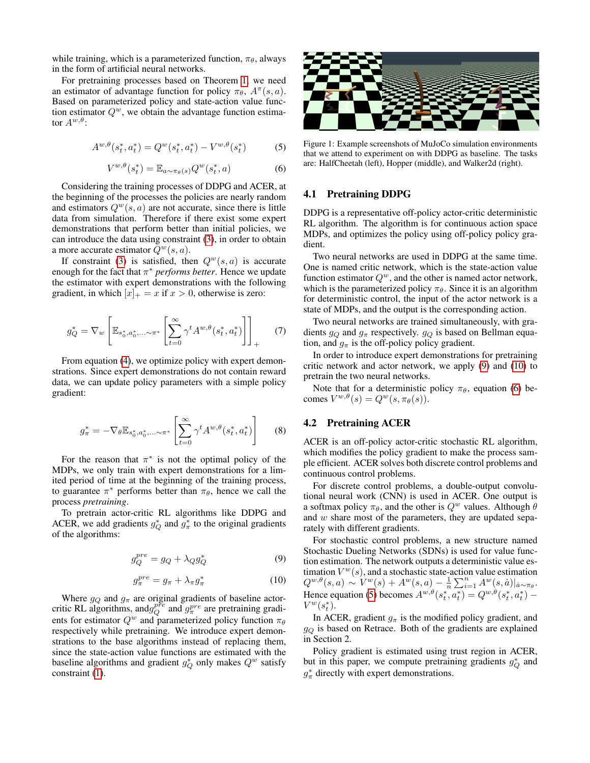while training, which is a parameterized function,  $\pi_{\theta}$ , always in the form of artificial neural networks.

For pretraining processes based on Theorem [1,](#page-2-1) we need an estimator of advantage function for policy  $\pi_{\theta}$ ,  $A^{\pi}(s, a)$ . Based on parameterized policy and state-action value function estimator  $Q<sup>w</sup>$ , we obtain the advantage function estimator  $A^{w,\theta}$ :

<span id="page-3-3"></span>
$$
A^{w,\theta}(s_t^*, a_t^*) = Q^w(s_t^*, a_t^*) - V^{w,\theta}(s_t^*)
$$
 (5)

<span id="page-3-2"></span>
$$
V^{w,\theta}(s_t^*) = \mathbb{E}_{a \sim \pi_\theta(s)} Q^w(s_t^*, a)
$$
 (6)

Considering the training processes of DDPG and ACER, at the beginning of the processes the policies are nearly random and estimators  $Q^w(s, a)$  are not accurate, since there is little data from simulation. Therefore if there exist some expert demonstrations that perform better than initial policies, we can introduce the data using constraint [\(3\)](#page-2-2), in order to obtain a more accurate estimator  $Q^w(s, a)$ .

If constraint [\(3\)](#page-2-2) is satisfied, then  $Q^w(s, a)$  is accurate enough for the fact that  $\pi^*$  *performs better*. Hence we update the estimator with expert demonstrations with the following gradient, in which  $[x]_+ = x$  if  $x > 0$ , otherwise is zero:

<span id="page-3-4"></span>
$$
g_Q^* = \nabla_w \left[ \mathbb{E}_{s_0^*, a_0^*, \dots \sim \pi^*} \left[ \sum_{t=0}^{\infty} \gamma^t A^{w, \theta}(s_t^*, a_t^*) \right] \right]_+ \tag{7}
$$

From equation [\(4\)](#page-2-3), we optimize policy with expert demonstrations. Since expert demonstrations do not contain reward data, we can update policy parameters with a simple policy gradient:

<span id="page-3-6"></span>
$$
g_{\pi}^* = -\nabla_{\theta} \mathbb{E}_{s_0^*, a_0^*, \dots \sim \pi^*} \left[ \sum_{t=0}^{\infty} \gamma^t A^{w, \theta}(s_t^*, a_t^*) \right] \tag{8}
$$

For the reason that  $\pi^*$  is not the optimal policy of the MDPs, we only train with expert demonstrations for a limited period of time at the beginning of the training process, to guarantee  $\pi^*$  performs better than  $\pi_\theta$ , hence we call the process *pretraining*.

To pretrain actor-critic RL algorithms like DDPG and ACER, we add gradients  $g_Q^*$  and  $g_\pi^*$  to the original gradients of the algorithms:

<span id="page-3-0"></span>
$$
g_Q^{pre} = g_Q + \lambda_Q g_Q^* \tag{9}
$$

<span id="page-3-1"></span>
$$
g_{\pi}^{pre} = g_{\pi} + \lambda_{\pi} g_{\pi}^{*} \tag{10}
$$

Where  $g_Q$  and  $g_\pi$  are original gradients of baseline actorcritic RL algorithms, and  $g_Q^{pre}$  and  $g_\pi^{pre}$  are pretraining gradients for estimator  $Q^w$  and parameterized policy function  $\pi_\theta$ respectively while pretraining. We introduce expert demonstrations to the base algorithms instead of replacing them, since the state-action value functions are estimated with the baseline algorithms and gradient  $g_Q^*$  only makes  $Q^w$  satisfy constraint [\(1\)](#page-2-0).

<span id="page-3-5"></span>

Figure 1: Example screenshots of MuJoCo simulation environments that we attend to experiment on with DDPG as baseline. The tasks are: HalfCheetah (left), Hopper (middle), and Walker2d (right).

#### 4.1 Pretraining DDPG

DDPG is a representative off-policy actor-critic deterministic RL algorithm. The algorithm is for continuous action space MDPs, and optimizes the policy using off-policy policy gradient.

Two neural networks are used in DDPG at the same time. One is named critic network, which is the state-action value function estimator  $Q^w$ , and the other is named actor network, which is the parameterized policy  $\pi_{\theta}$ . Since it is an algorithm for deterministic control, the input of the actor network is a state of MDPs, and the output is the corresponding action.

Two neural networks are trained simultaneously, with gradients  $g_Q$  and  $g_\pi$  respectively.  $g_Q$  is based on Bellman equation, and  $g_{\pi}$  is the off-policy policy gradient.

In order to introduce expert demonstrations for pretraining critic network and actor network, we apply [\(9\)](#page-3-0) and [\(10\)](#page-3-1) to pretrain the two neural networks.

Note that for a deterministic policy  $\pi_{\theta}$ , equation [\(6\)](#page-3-2) becomes  $V^{w,\theta}(s) = Q^w(s, \pi_\theta(s)).$ 

# 4.2 Pretraining ACER

ACER is an off-policy actor-critic stochastic RL algorithm, which modifies the policy gradient to make the process sample efficient. ACER solves both discrete control problems and continuous control problems.

For discrete control problems, a double-output convolutional neural work (CNN) is used in ACER. One output is a softmax policy  $\pi_{\theta}$ , and the other is  $Q^w$  values. Although  $\theta$ and w share most of the parameters, they are updated separately with different gradients.

For stochastic control problems, a new structure named Stochastic Dueling Networks (SDNs) is used for value function estimation. The network outputs a deterministic value estimation  $V^w(s)$ , and a stochastic state-action value estimation  $Q^{w,\theta}(s,a) \sim V^w(s) + A^w(s,a) - \frac{1}{n} \sum_{i=1}^n A^w(s,a) |_{a \sim \pi_\theta}.$ Hence equation [\(5\)](#page-3-3) becomes  $A^{w,\theta}(s_t^*, a_t^*) = Q^{w,\theta}(s_t^*, a_t^*)$  –  $V^w(s_t^*)$ .

In ACER, gradient  $g_{\pi}$  is the modified policy gradient, and  $g_Q$  is based on Retrace. Both of the gradients are explained in Section 2.

Policy gradient is estimated using trust region in ACER, but in this paper, we compute pretraining gradients  $g_Q^*$  and  $g^*_{\pi}$  directly with expert demonstrations.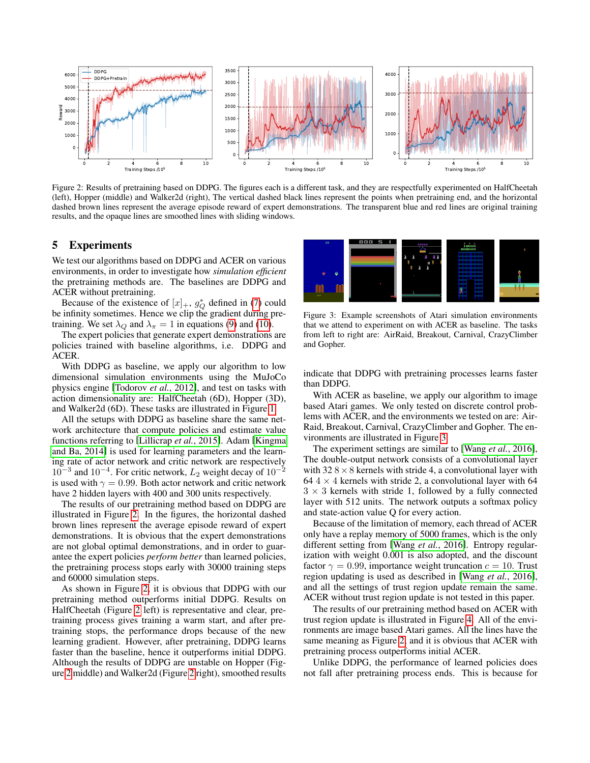<span id="page-4-0"></span>

Figure 2: Results of pretraining based on DDPG. The figures each is a different task, and they are respectfully experimented on HalfCheetah (left), Hopper (middle) and Walker2d (right), The vertical dashed black lines represent the points when pretraining end, and the horizontal dashed brown lines represent the average episode reward of expert demonstrations. The transparent blue and red lines are original training results, and the opaque lines are smoothed lines with sliding windows.

#### 5 Experiments

We test our algorithms based on DDPG and ACER on various environments, in order to investigate how *simulation efficient* the pretraining methods are. The baselines are DDPG and ACER without pretraining.

Because of the existence of  $[x]_+$ ,  $g_Q^*$  defined in [\(7\)](#page-3-4) could be infinity sometimes. Hence we clip the gradient during pretraining. We set  $\lambda_Q$  and  $\lambda_{\pi} = 1$  in equations [\(9\)](#page-3-0) and [\(10\)](#page-3-1).

The expert policies that generate expert demonstrations are policies trained with baseline algorithms, i.e. DDPG and ACER.

With DDPG as baseline, we apply our algorithm to low dimensional simulation environments using the MuJoCo physics engine [\[Todorov](#page-6-18) *et al.*, 2012], and test on tasks with action dimensionality are: HalfCheetah (6D), Hopper (3D), and Walker2d (6D). These tasks are illustrated in Figure [1.](#page-3-5)

All the setups with DDPG as baseline share the same network architecture that compute policies and estimate value functions referring to [\[Lillicrap](#page-6-5) *et al.*, 2015]. Adam [\[Kingma](#page-6-19) [and Ba, 2014\]](#page-6-19) is used for learning parameters and the learning rate of actor network and critic network are respectively  $10^{-3}$  and  $10^{-4}$ . For critic network,  $L_2$  weight decay of  $10^{-2}$ is used with  $\gamma = 0.99$ . Both actor network and critic network have 2 hidden layers with 400 and 300 units respectively.

The results of our pretraining method based on DDPG are illustrated in Figure [2.](#page-4-0) In the figures, the horizontal dashed brown lines represent the average episode reward of expert demonstrations. It is obvious that the expert demonstrations are not global optimal demonstrations, and in order to guarantee the expert policies *perform better* than learned policies, the pretraining process stops early with 30000 training steps and 60000 simulation steps.

As shown in Figure [2,](#page-4-0) it is obvious that DDPG with our pretraining method outperforms initial DDPG. Results on HalfCheetah (Figure [2](#page-4-0) left) is representative and clear, pretraining process gives training a warm start, and after pretraining stops, the performance drops because of the new learning gradient. However, after pretraining, DDPG learns faster than the baseline, hence it outperforms initial DDPG. Although the results of DDPG are unstable on Hopper (Figure [2](#page-4-0) middle) and Walker2d (Figure [2](#page-4-0) right), smoothed results

<span id="page-4-1"></span>

Figure 3: Example screenshots of Atari simulation environments that we attend to experiment on with ACER as baseline. The tasks from left to right are: AirRaid, Breakout, Carnival, CrazyClimber and Gopher.

indicate that DDPG with pretraining processes learns faster than DDPG.

With ACER as baseline, we apply our algorithm to image based Atari games. We only tested on discrete control problems with ACER, and the environments we tested on are: Air-Raid, Breakout, Carnival, CrazyClimber and Gopher. The environments are illustrated in Figure [3.](#page-4-1)

The experiment settings are similar to [Wang *et al.*[, 2016\]](#page-6-4), The double-output network consists of a convolutional layer with  $328 \times 8$  kernels with stride 4, a convolutional layer with 64  $4 \times 4$  kernels with stride 2, a convolutional layer with 64  $3 \times 3$  kernels with stride 1, followed by a fully connected layer with 512 units. The network outputs a softmax policy and state-action value Q for every action.

Because of the limitation of memory, each thread of ACER only have a replay memory of 5000 frames, which is the only different setting from [Wang *et al.*[, 2016\]](#page-6-4). Entropy regularization with weight 0.001 is also adopted, and the discount factor  $\gamma = 0.99$ , importance weight truncation  $c = 10$ . Trust region updating is used as described in [Wang *et al.*[, 2016\]](#page-6-4), and all the settings of trust region update remain the same. ACER without trust region update is not tested in this paper.

The results of our pretraining method based on ACER with trust region update is illustrated in Figure [4.](#page-5-7) All of the environments are image based Atari games. All the lines have the same meaning as Figure [2,](#page-4-0) and it is obvious that ACER with pretraining process outperforms initial ACER.

Unlike DDPG, the performance of learned policies does not fall after pretraining process ends. This is because for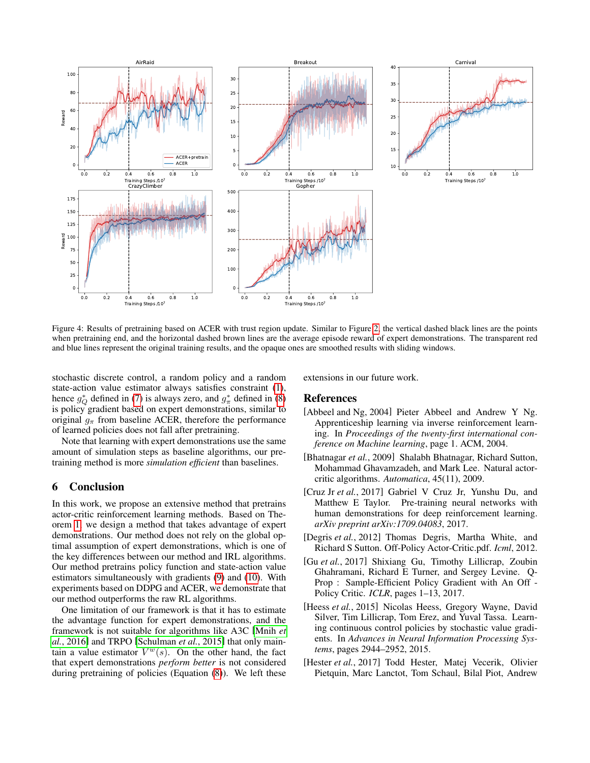<span id="page-5-7"></span>

Figure 4: Results of pretraining based on ACER with trust region update. Similar to Figure [2,](#page-4-0) the vertical dashed black lines are the points when pretraining end, and the horizontal dashed brown lines are the average episode reward of expert demonstrations. The transparent red and blue lines represent the original training results, and the opaque ones are smoothed results with sliding windows.

stochastic discrete control, a random policy and a random state-action value estimator always satisfies constraint [\(1\)](#page-2-0), hence  $g_Q^*$  defined in [\(7\)](#page-3-4) is always zero, and  $g_\pi^*$  defined in [\(8\)](#page-3-6) is policy gradient based on expert demonstrations, similar to original  $g_{\pi}$  from baseline ACER, therefore the performance of learned policies does not fall after pretraining.

Note that learning with expert demonstrations use the same amount of simulation steps as baseline algorithms, our pretraining method is more *simulation efficient* than baselines.

# 6 Conclusion

In this work, we propose an extensive method that pretrains actor-critic reinforcement learning methods. Based on Theorem [1,](#page-2-1) we design a method that takes advantage of expert demonstrations. Our method does not rely on the global optimal assumption of expert demonstrations, which is one of the key differences between our method and IRL algorithms. Our method pretrains policy function and state-action value estimators simultaneously with gradients [\(9\)](#page-3-0) and [\(10\)](#page-3-1). With experiments based on DDPG and ACER, we demonstrate that our method outperforms the raw RL algorithms.

One limitation of our framework is that it has to estimate the advantage function for expert demonstrations, and the framework is not suitable for algorithms like A3C [\[Mnih](#page-6-6) *et al.*[, 2016\]](#page-6-6) and TRPO [\[Schulman](#page-6-16) *et al.*, 2015] that only maintain a value estimator  $V^w(s)$ . On the other hand, the fact that expert demonstrations *perform better* is not considered during pretraining of policies (Equation [\(8\)](#page-3-6)). We left these extensions in our future work.

#### References

- <span id="page-5-3"></span>[Abbeel and Ng, 2004] Pieter Abbeel and Andrew Y Ng. Apprenticeship learning via inverse reinforcement learning. In *Proceedings of the twenty-first international conference on Machine learning*, page 1. ACM, 2004.
- <span id="page-5-1"></span>[Bhatnagar *et al.*, 2009] Shalabh Bhatnagar, Richard Sutton, Mohammad Ghavamzadeh, and Mark Lee. Natural actorcritic algorithms. *Automatica*, 45(11), 2009.
- <span id="page-5-4"></span>[Cruz Jr *et al.*, 2017] Gabriel V Cruz Jr, Yunshu Du, and Matthew E Taylor. Pre-training neural networks with human demonstrations for deep reinforcement learning. *arXiv preprint arXiv:1709.04083*, 2017.
- <span id="page-5-2"></span>[Degris *et al.*, 2012] Thomas Degris, Martha White, and Richard S Sutton. Off-Policy Actor-Critic.pdf. *Icml*, 2012.
- <span id="page-5-6"></span>[Gu *et al.*, 2017] Shixiang Gu, Timothy Lillicrap, Zoubin Ghahramani, Richard E Turner, and Sergey Levine. Q-Prop : Sample-Efficient Policy Gradient with An Off - Policy Critic. *ICLR*, pages 1–13, 2017.
- <span id="page-5-0"></span>[Heess *et al.*, 2015] Nicolas Heess, Gregory Wayne, David Silver, Tim Lillicrap, Tom Erez, and Yuval Tassa. Learning continuous control policies by stochastic value gradients. In *Advances in Neural Information Processing Systems*, pages 2944–2952, 2015.
- <span id="page-5-5"></span>[Hester *et al.*, 2017] Todd Hester, Matej Vecerik, Olivier Pietquin, Marc Lanctot, Tom Schaul, Bilal Piot, Andrew